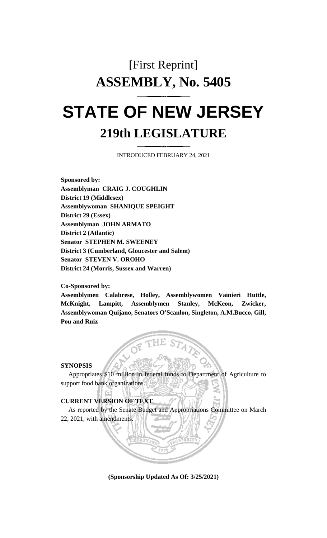# [First Reprint] **ASSEMBLY, No. 5405**

## **STATE OF NEW JERSEY 219th LEGISLATURE**

INTRODUCED FEBRUARY 24, 2021

**Sponsored by: Assemblyman CRAIG J. COUGHLIN District 19 (Middlesex) Assemblywoman SHANIQUE SPEIGHT District 29 (Essex) Assemblyman JOHN ARMATO District 2 (Atlantic) Senator STEPHEN M. SWEENEY District 3 (Cumberland, Gloucester and Salem) Senator STEVEN V. OROHO District 24 (Morris, Sussex and Warren)**

#### **Co-Sponsored by:**

**Assemblymen Calabrese, Holley, Assemblywomen Vainieri Huttle, McKnight, Lampitt, Assemblymen Stanley, McKeon, Zwicker, Assemblywoman Quijano, Senators O'Scanlon, Singleton, A.M.Bucco, Gill, Pou and Ruiz**

#### **SYNOPSIS**

Appropriates \$10 million in federal funds to Department of Agriculture to support food bank organizations.

#### **CURRENT VERSION OF TEXT**

As reported by the Senate Budget and Appropriations Committee on March 22, 2021, with amendments.

**(Sponsorship Updated As Of: 3/25/2021)**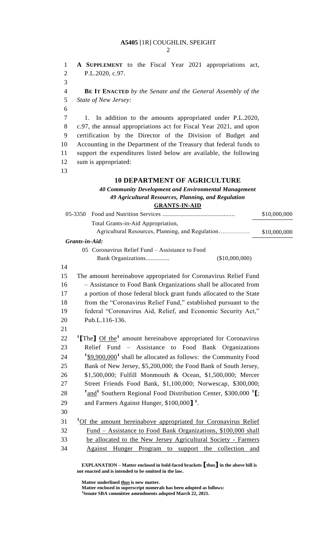#### **A5405** [1R] COUGHLIN, SPEIGHT

 $\mathcal{D}_{\alpha}$ 

 **A SUPPLEMENT** to the Fiscal Year 2021 appropriations act, P.L.2020, c.97.

 **BE IT ENACTED** *by the Senate and the General Assembly of the State of New Jersey:*

 1. In addition to the amounts appropriated under P.L.2020, c.97, the annual appropriations act for Fiscal Year 2021, and upon certification by the Director of the Division of Budget and Accounting in the Department of the Treasury that federal funds to support the expenditures listed below are available, the following sum is appropriated:

#### **10 DEPARTMENT OF AGRICULTURE**

#### *40 Community Development and Environmental Management 49 Agricultural Resources, Planning, and Regulation* **GRANTS-IN-AID** 05-3350 Food and Nutrition Services .............................................. \$10,000,000

|    |                                                                      |                                                                                        | \$10,000,000 |
|----|----------------------------------------------------------------------|----------------------------------------------------------------------------------------|--------------|
|    |                                                                      | Total Grants-in-Aid Appropriation,                                                     |              |
|    |                                                                      | Agricultural Resources, Planning, and Regulation                                       | \$10,000,000 |
|    | Grants-in-Aid:                                                       |                                                                                        |              |
|    |                                                                      | 05 Coronavirus Relief Fund - Assistance to Food                                        |              |
|    |                                                                      | (\$10,000,000)<br>Bank Organizations                                                   |              |
| 14 |                                                                      |                                                                                        |              |
| 15 | The amount hereinabove appropriated for Coronavirus Relief Fund      |                                                                                        |              |
| 16 |                                                                      | - Assistance to Food Bank Organizations shall be allocated from                        |              |
| 17 | a portion of those federal block grant funds allocated to the State  |                                                                                        |              |
| 18 | from the "Coronavirus Relief Fund," established pursuant to the      |                                                                                        |              |
| 19 | federal "Coronavirus Aid, Relief, and Economic Security Act,"        |                                                                                        |              |
| 20 |                                                                      | Pub.L.116-136.                                                                         |              |
| 21 |                                                                      |                                                                                        |              |
| 22 |                                                                      | <sup>1</sup> [The] Of the <sup>1</sup> amount hereinabove appropriated for Coronavirus |              |
| 23 |                                                                      | Relief Fund – Assistance to Food Bank Organizations                                    |              |
| 24 |                                                                      | $1\$ (\$9,900,000 <sup>1</sup> shall be allocated as follows: the Community Food       |              |
| 25 |                                                                      | Bank of New Jersey, \$5,200,000; the Food Bank of South Jersey,                        |              |
| 26 |                                                                      | \$1,500,000; Fulfill Monmouth & Ocean, \$1,500,000; Mercer                             |              |
| 27 |                                                                      | Street Friends Food Bank, \$1,100,000; Norwescap, \$300,000;                           |              |
| 28 |                                                                      | $1and$ <sup>1</sup> Southern Regional Food Distribution Center, \$300,000 $1l$ ;       |              |
| 29 |                                                                      | and Farmers Against Hunger, \$100,000] <sup>1</sup> .                                  |              |
| 30 |                                                                      |                                                                                        |              |
| 31 |                                                                      | <sup>1</sup> Of the amount hereinabove appropriated for Coronavirus Relief             |              |
| 32 | <u>Fund – Assistance to Food Bank Organizations, \$100,000 shall</u> |                                                                                        |              |
| 33 | be allocated to the New Jersey Agricultural Society - Farmers        |                                                                                        |              |
| 34 |                                                                      | Against Hunger Program to support the collection and                                   |              |
|    |                                                                      |                                                                                        |              |

**EXPLANATION – Matter enclosed in bold-faced brackets [thus] in the above bill is not enacted and is intended to be omitted in the law.**

**Matter underlined thus is new matter.**

**Matter enclosed in superscript numerals has been adopted as follows: Senate SBA committee amendments adopted March 22, 2021.**